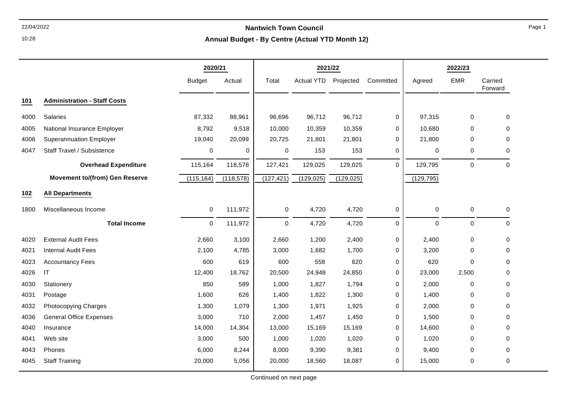**Annual Budget - By Centre (Actual YTD Month 12)**

|      |                                       | 2020/21       |            |                     | 2021/22           |            |              |             | 2022/23     |                    |
|------|---------------------------------------|---------------|------------|---------------------|-------------------|------------|--------------|-------------|-------------|--------------------|
|      |                                       | <b>Budget</b> | Actual     | Total               | <b>Actual YTD</b> | Projected  | Committed    | Agreed      | <b>EMR</b>  | Carried<br>Forward |
| 101  | <b>Administration - Staff Costs</b>   |               |            |                     |                   |            |              |             |             |                    |
| 4000 | Salaries                              | 87,332        | 88,961     | 96,696              | 96,712            | 96,712     | 0            | 97,315      | 0           | 0                  |
| 4005 | National Insurance Employer           | 8,792         | 9,518      | 10,000              | 10,359            | 10,359     | 0            | 10,680      | 0           | $\Omega$           |
| 4006 | <b>Superannuation Employer</b>        | 19,040        | 20,099     | 20,725              | 21,801            | 21,801     | 0            | 21,800      | $\mathbf 0$ | 0                  |
| 4047 | Staff Travel / Subsistence            | $\pmb{0}$     | 0          | 0                   | 153               | 153        | $\mathbf 0$  | 0           | 0           | 0                  |
|      | <b>Overhead Expenditure</b>           | 115,164       | 118,578    | 127,421             | 129,025           | 129,025    | $\mathbf{0}$ | 129,795     | $\mathbf 0$ | $\Omega$           |
|      | <b>Movement to/(from) Gen Reserve</b> | (115, 164)    | (118, 578) | (127, 421)          | (129, 025)        | (129, 025) |              | (129, 795)  |             |                    |
| 102  | <b>All Departments</b>                |               |            |                     |                   |            |              |             |             |                    |
| 1800 | Miscellaneous Income                  | $\pmb{0}$     | 111,972    | $\mathsf{O}\xspace$ | 4,720             | 4,720      | $\pmb{0}$    | $\pmb{0}$   | $\pmb{0}$   | 0                  |
|      | <b>Total Income</b>                   | $\mathbf 0$   | 111,972    | $\pmb{0}$           | 4,720             | 4,720      | $\mathbf 0$  | $\mathbf 0$ | $\pmb{0}$   | $\mathbf 0$        |
| 4020 | <b>External Audit Fees</b>            | 2,660         | 3,100      | 2,660               | 1,200             | 2,400      | $\mathbf 0$  | 2,400       | 0           | $\Omega$           |
| 4021 | <b>Internal Audit Fees</b>            | 2,100         | 4,785      | 3,000               | 1,682             | 1,700      | 0            | 3,200       | 0           | 0                  |
| 4023 | <b>Accountancy Fees</b>               | 600           | 619        | 600                 | 558               | 620        | $\mathbf 0$  | 620         | $\mathbf 0$ | 0                  |
| 4026 | IT                                    | 12,400        | 18,762     | 20,500              | 24,948            | 24,850     | 0            | 23,000      | 2,500       | $\Omega$           |
| 4030 | Stationery                            | 850           | 589        | 1,000               | 1,827             | 1,794      | 0            | 2,000       | 0           | 0                  |
| 4031 | Postage                               | 1,600         | 626        | 1,400               | 1,822             | 1,300      | 0            | 1,400       | 0           | 0                  |
| 4032 | Photocopying Charges                  | 1,300         | 1,079      | 1,300               | 1,971             | 1,925      | 0            | 2,000       | 0           | 0                  |
| 4036 | <b>General Office Expenses</b>        | 3,000         | 710        | 2,000               | 1,457             | 1,450      | $\mathbf 0$  | 1,500       | 0           | 0                  |
| 4040 | Insurance                             | 14,000        | 14,304     | 13,000              | 15,169            | 15,169     | $\mathbf 0$  | 14,600      | 0           | $\Omega$           |
| 4041 | Web site                              | 3,000         | 500        | 1,000               | 1,020             | 1,020      | 0            | 1,020       | $\Omega$    | $\Omega$           |
| 4043 | Phones                                | 6,000         | 8,244      | 8,000               | 9,390             | 9,381      | 0            | 9,400       | 0           | 0                  |
| 4045 | <b>Staff Training</b>                 | 20,000        | 5,056      | 20,000              | 18,560            | 18,087     | $\mathbf 0$  | 15,000      | $\mathbf 0$ | $\Omega$           |

10:28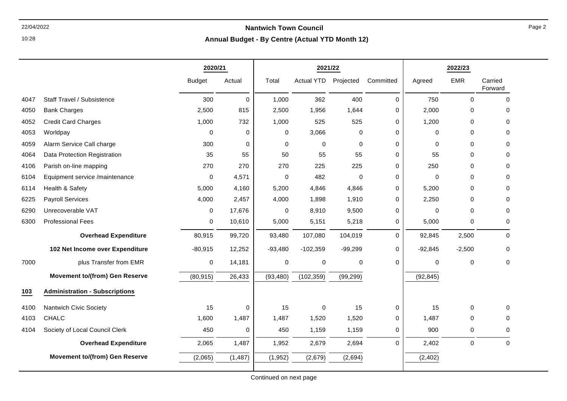### 22/04/2022 **Nantwich Town Council Annual Budget - By Centre (Actual YTD Month 12)**

|      |                                       | 2020/21       |             |             | 2021/22           |             |           |             | 2022/23     |                    |
|------|---------------------------------------|---------------|-------------|-------------|-------------------|-------------|-----------|-------------|-------------|--------------------|
|      |                                       | <b>Budget</b> | Actual      | Total       | <b>Actual YTD</b> | Projected   | Committed | Agreed      | <b>EMR</b>  | Carried<br>Forward |
| 4047 | Staff Travel / Subsistence            | 300           | $\mathbf 0$ | 1,000       | 362               | 400         | 0         | 750         | $\mathbf 0$ | $\Omega$           |
| 4050 | <b>Bank Charges</b>                   | 2,500         | 815         | 2,500       | 1,956             | 1,644       | 0         | 2,000       | 0           | 0                  |
| 4052 | <b>Credit Card Charges</b>            | 1,000         | 732         | 1,000       | 525               | 525         | 0         | 1,200       | 0           | $\mathbf 0$        |
| 4053 | Worldpay                              | $\mathbf{0}$  | $\mathbf 0$ | 0           | 3,066             | $\Omega$    | 0         | $\Omega$    | $\Omega$    | $\Omega$           |
| 4059 | Alarm Service Call charge             | 300           | $\mathbf 0$ | $\mathbf 0$ | $\mathbf 0$       | $\Omega$    | 0         | 0           | $\mathbf 0$ | 0                  |
| 4064 | Data Protection Registration          | 35            | 55          | 50          | 55                | 55          | 0         | 55          | $\Omega$    | $\Omega$           |
| 4106 | Parish on-line mapping                | 270           | 270         | 270         | 225               | 225         | 0         | 250         | 0           | 0                  |
| 6104 | Equipment service /maintenance        | $\mathbf 0$   | 4,571       | 0           | 482               | $\mathbf 0$ | 0         | $\mathbf 0$ | 0           | 0                  |
| 6114 | Health & Safety                       | 5,000         | 4,160       | 5,200       | 4,846             | 4,846       | 0         | 5,200       | 0           | 0                  |
| 6225 | <b>Payroll Services</b>               | 4,000         | 2,457       | 4,000       | 1,898             | 1,910       | 0         | 2,250       | $\Omega$    | 0                  |
| 6290 | Unrecoverable VAT                     | 0             | 17,676      | 0           | 8,910             | 9,500       | 0         | 0           | 0           | 0                  |
| 6300 | <b>Professional Fees</b>              | $\mathbf 0$   | 10,610      | 5,000       | 5,151             | 5,218       | 0         | 5,000       | 0           | $\mathbf 0$        |
|      | <b>Overhead Expenditure</b>           | 80,915        | 99,720      | 93,480      | 107,080           | 104,019     | 0         | 92,845      | 2,500       | $\mathbf 0$        |
|      | 102 Net Income over Expenditure       | $-80,915$     | 12,252      | $-93,480$   | $-102,359$        | $-99,299$   | 0         | $-92,845$   | $-2,500$    | $\Omega$           |
| 7000 | plus Transfer from EMR                | $\mathbf 0$   | 14,181      | 0           | 0                 | $\mathbf 0$ | 0         | $\Omega$    | $\Omega$    | $\Omega$           |
|      | <b>Movement to/(from) Gen Reserve</b> | (80, 915)     | 26,433      | (93, 480)   | (102, 359)        | (99, 299)   |           | (92, 845)   |             |                    |
| 103  | <b>Administration - Subscriptions</b> |               |             |             |                   |             |           |             |             |                    |
| 4100 | Nantwich Civic Society                | 15            | 0           | 15          | 0                 | 15          | 0         | 15          | 0           | 0                  |
| 4103 | CHALC                                 | 1,600         | 1,487       | 1,487       | 1,520             | 1,520       | 0         | 1,487       | 0           | 0                  |
| 4104 | Society of Local Council Clerk        | 450           | 0           | 450         | 1,159             | 1,159       | 0         | 900         | 0           | $\Omega$           |
|      | <b>Overhead Expenditure</b>           | 2,065         | 1,487       | 1,952       | 2,679             | 2,694       | 0         | 2,402       | 0           | $\mathbf 0$        |
|      | <b>Movement to/(from) Gen Reserve</b> | (2,065)       | (1, 487)    | (1,952)     | (2,679)           | (2,694)     |           | (2, 402)    |             |                    |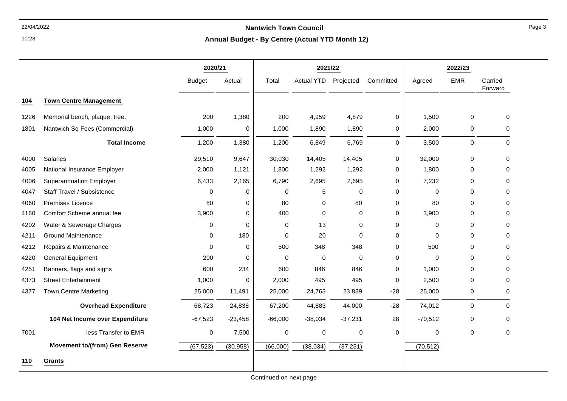**Annual Budget - By Centre (Actual YTD Month 12)**

|      |                                       | 2020/21       |             |           | 2021/22           |             |             |           | 2022/23          |                    |
|------|---------------------------------------|---------------|-------------|-----------|-------------------|-------------|-------------|-----------|------------------|--------------------|
|      |                                       | <b>Budget</b> | Actual      | Total     | <b>Actual YTD</b> | Projected   | Committed   | Agreed    | <b>EMR</b>       | Carried<br>Forward |
| 104  | <b>Town Centre Management</b>         |               |             |           |                   |             |             |           |                  |                    |
| 1226 | Memorial bench, plaque, tree.         | 200           | 1,380       | 200       | 4,959             | 4,879       | 0           | 1,500     | $\mathbf 0$      | $\mathbf 0$        |
| 1801 | Nantwich Sq Fees (Commercial)         | 1,000         | 0           | 1,000     | 1,890             | 1,890       | 0           | 2,000     | $\mathbf 0$      | 0                  |
|      | <b>Total Income</b>                   | 1,200         | 1,380       | 1,200     | 6,849             | 6,769       | 0           | 3,500     | $\pmb{0}$        | $\mathbf 0$        |
| 4000 | <b>Salaries</b>                       | 29,510        | 9,647       | 30,030    | 14,405            | 14,405      | 0           | 32,000    | $\mathbf 0$      | 0                  |
| 4005 | National Insurance Employer           | 2,000         | 1,121       | 1,800     | 1,292             | 1,292       | 0           | 1,800     | 0                | 0                  |
| 4006 | <b>Superannuation Employer</b>        | 6,433         | 2,165       | 6,790     | 2,695             | 2,695       | 0           | 7,232     | $\mathbf 0$      | $\mathbf 0$        |
| 4047 | Staff Travel / Subsistence            | 0             | 0           | 0         | 5                 | 0           | 0           | 0         | 0                | 0                  |
| 4060 | <b>Premises Licence</b>               | 80            | 0           | 80        | $\mathbf 0$       | 80          | 0           | 80        | $\Omega$         | $\Omega$           |
| 4160 | Comfort Scheme annual fee             | 3,900         | $\Omega$    | 400       | $\mathbf 0$       | $\mathbf 0$ | 0           | 3,900     | $\Omega$         | $\Omega$           |
| 4202 | Water & Sewerage Charges              | $\mathbf 0$   | $\mathbf 0$ | 0         | 13                | 0           | 0           | 0         | $\Omega$         | 0                  |
| 4211 | <b>Ground Maintenance</b>             | 0             | 180         | 0         | 20                | 0           | 0           | 0         | $\Omega$         | $\mathbf 0$        |
| 4212 | Repairs & Maintenance                 | 0             | 0           | 500       | 348               | 348         | 0           | 500       | $\Omega$         | 0                  |
| 4220 | <b>General Equipment</b>              | 200           | $\mathbf 0$ | $\Omega$  | $\mathbf 0$       | $\Omega$    | 0           | 0         | $\Omega$         | $\Omega$           |
| 4251 | Banners, flags and signs              | 600           | 234         | 600       | 846               | 846         | 0           | 1,000     | 0                | 0                  |
| 4373 | <b>Street Entertainment</b>           | 1,000         | 0           | 2,000     | 495               | 495         | 0           | 2,500     | $\mathbf 0$      | 0                  |
| 4377 | <b>Town Centre Marketing</b>          | 25,000        | 11,491      | 25,000    | 24,763            | 23,839      | $-28$       | 25,000    | 0                | 0                  |
|      | <b>Overhead Expenditure</b>           | 68,723        | 24,838      | 67,200    | 44,883            | 44,000      | $-28$       | 74,012    | $\pmb{0}$        | $\mathbf 0$        |
|      | 104 Net Income over Expenditure       | $-67,523$     | $-23,458$   | $-66,000$ | $-38,034$         | $-37,231$   | 28          | $-70,512$ | $\mathbf 0$      | $\mathbf 0$        |
| 7001 | less Transfer to EMR                  | 0             | 7,500       | $\pmb{0}$ | $\boldsymbol{0}$  | $\pmb{0}$   | $\mathbf 0$ | 0         | $\boldsymbol{0}$ | $\mathbf 0$        |
|      | <b>Movement to/(from) Gen Reserve</b> | (67, 523)     | (30, 958)   | (66,000)  | (38, 034)         | (37, 231)   |             | (70, 512) |                  |                    |
| 110  | Grants                                |               |             |           |                   |             |             |           |                  |                    |

10:28

Continued on next page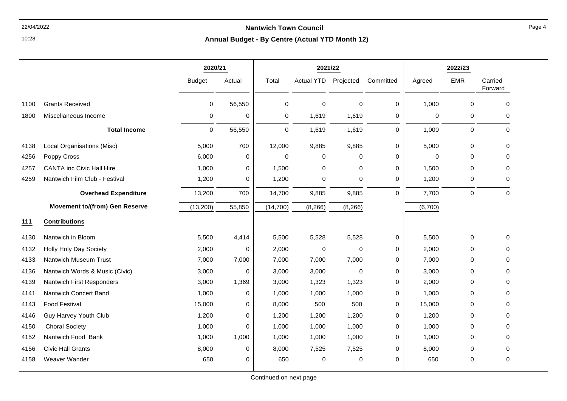10:28

#### **Annual Budget - By Centre (Actual YTD Month 12)**

|      |                                       | 2020/21       |             | 2021/22     |                   |             |             |         | 2022/23     |                    |
|------|---------------------------------------|---------------|-------------|-------------|-------------------|-------------|-------------|---------|-------------|--------------------|
|      |                                       | <b>Budget</b> | Actual      | Total       | <b>Actual YTD</b> | Projected   | Committed   | Agreed  | <b>EMR</b>  | Carried<br>Forward |
| 1100 | <b>Grants Received</b>                | 0             | 56,550      | $\mathbf 0$ | $\mathbf 0$       | 0           | 0           | 1,000   | $\mathbf 0$ | $\mathbf 0$        |
| 1800 | Miscellaneous Income                  | 0             | 0           | 0           | 1,619             | 1,619       | 0           | 0       | $\mathbf 0$ | 0                  |
|      | <b>Total Income</b>                   | 0             | 56,550      | $\mathbf 0$ | 1,619             | 1,619       | $\Omega$    | 1,000   | $\pmb{0}$   | $\mathbf 0$        |
| 4138 | Local Organisations (Misc)            | 5,000         | 700         | 12,000      | 9,885             | 9,885       | $\mathbf 0$ | 5,000   | $\mathbf 0$ | $\mathbf 0$        |
| 4256 | Poppy Cross                           | 6,000         | $\Omega$    | $\Omega$    | 0                 | $\Omega$    | 0           | 0       | $\Omega$    | $\Omega$           |
| 4257 | <b>CANTA inc Civic Hall Hire</b>      | 1,000         | $\mathbf 0$ | 1,500       | $\mathbf 0$       | 0           | $\mathbf 0$ | 1,500   | $\mathbf 0$ | 0                  |
| 4259 | Nantwich Film Club - Festival         | 1,200         | 0           | 1,200       | $\mathbf 0$       | 0           | 0           | 1,200   | $\mathbf 0$ | $\Omega$           |
|      | <b>Overhead Expenditure</b>           | 13,200        | 700         | 14,700      | 9,885             | 9,885       | $\Omega$    | 7,700   | $\pmb{0}$   | $\mathbf 0$        |
|      | <b>Movement to/(from) Gen Reserve</b> | (13, 200)     | 55,850      | (14, 700)   | (8, 266)          | (8, 266)    |             | (6,700) |             |                    |
| 111  | <b>Contributions</b>                  |               |             |             |                   |             |             |         |             |                    |
| 4130 | Nantwich in Bloom                     | 5,500         | 4,414       | 5,500       | 5,528             | 5,528       | 0           | 5,500   | $\mathbf 0$ | 0                  |
| 4132 | Holly Holy Day Society                | 2,000         | 0           | 2,000       | $\mathbf 0$       | $\mathbf 0$ | 0           | 2,000   | $\Omega$    | $\Omega$           |
| 4133 | Nantwich Museum Trust                 | 7,000         | 7,000       | 7,000       | 7,000             | 7,000       | 0           | 7,000   | $\mathbf 0$ | 0                  |
| 4136 | Nantwich Words & Music (Civic)        | 3,000         | $\mathbf 0$ | 3,000       | 3,000             | $\mathbf 0$ | 0           | 3,000   | $\Omega$    | $\Omega$           |
| 4139 | Nantwich First Responders             | 3,000         | 1,369       | 3,000       | 1,323             | 1,323       | 0           | 2,000   | $\Omega$    | $\Omega$           |
| 4141 | Nantwich Concert Band                 | 1,000         | $\mathbf 0$ | 1,000       | 1,000             | 1,000       | 0           | 1,000   | $\mathbf 0$ | $\mathbf 0$        |
| 4143 | <b>Food Festival</b>                  | 15,000        | 0           | 8,000       | 500               | 500         | 0           | 15,000  | $\Omega$    | $\Omega$           |
| 4146 | Guy Harvey Youth Club                 | 1,200         | $\mathbf 0$ | 1,200       | 1,200             | 1,200       | 0           | 1,200   | 0           | 0                  |
| 4150 | <b>Choral Society</b>                 | 1,000         | $\Omega$    | 1,000       | 1,000             | 1,000       | 0           | 1,000   | $\Omega$    | $\mathbf 0$        |
| 4152 | Nantwich Food Bank                    | 1,000         | 1,000       | 1,000       | 1,000             | 1,000       | 0           | 1,000   | $\Omega$    | $\Omega$           |
| 4156 | <b>Civic Hall Grants</b>              | 8,000         | $\mathbf 0$ | 8,000       | 7,525             | 7,525       | $\mathbf 0$ | 8,000   | $\Omega$    | 0                  |
| 4158 | Weaver Wander                         | 650           | 0           | 650         | 0                 | 0           | 0           | 650     | 0           | 0                  |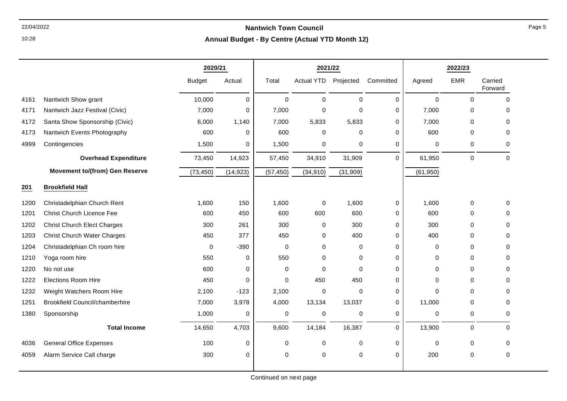# 22/04/2022 **Nantwich Town Council**

**Annual Budget - By Centre (Actual YTD Month 12)**

|      |                                       | 2020/21       |             |             | 2021/22           |             |             |             | 2022/23     |                    |
|------|---------------------------------------|---------------|-------------|-------------|-------------------|-------------|-------------|-------------|-------------|--------------------|
|      |                                       | <b>Budget</b> | Actual      | Total       | <b>Actual YTD</b> | Projected   | Committed   | Agreed      | <b>EMR</b>  | Carried<br>Forward |
| 4161 | Nantwich Show grant                   | 10,000        | 0           | $\mathbf 0$ | $\mathbf 0$       | 0           | 0           | $\mathbf 0$ | $\mathbf 0$ | $\mathbf 0$        |
| 4171 | Nantwich Jazz Festival (Civic)        | 7,000         | 0           | 7,000       | 0                 | 0           | 0           | 7,000       | 0           | $\mathbf 0$        |
| 4172 | Santa Show Sponsorship (Civic)        | 6,000         | 1,140       | 7,000       | 5,833             | 5,833       | 0           | 7,000       | 0           | $\Omega$           |
| 4173 | Nantwich Events Photography           | 600           | 0           | 600         | 0                 | 0           | 0           | 600         | 0           | $\Omega$           |
| 4999 | Contingencies                         | 1,500         | 0           | 1,500       | 0                 | 0           | 0           | 0           | 0           | 0                  |
|      | <b>Overhead Expenditure</b>           | 73,450        | 14,923      | 57,450      | 34,910            | 31,909      | $\mathbf 0$ | 61,950      | $\mathbf 0$ | $\mathbf 0$        |
|      | <b>Movement to/(from) Gen Reserve</b> | (73, 450)     | (14, 923)   | (57, 450)   | (34, 910)         | (31, 909)   |             | (61, 950)   |             |                    |
| 201  | <b>Brookfield Hall</b>                |               |             |             |                   |             |             |             |             |                    |
| 1200 | Christadelphian Church Rent           | 1,600         | 150         | 1,600       | $\mathbf 0$       | 1,600       | 0           | 1,600       | 0           | 0                  |
| 1201 | <b>Christ Church Licence Fee</b>      | 600           | 450         | 600         | 600               | 600         | $\Omega$    | 600         | 0           | 0                  |
| 1202 | <b>Christ Church Elect Charges</b>    | 300           | 261         | 300         | 0                 | 300         | 0           | 300         | $\mathbf 0$ | $\Omega$           |
| 1203 | <b>Christ Church Water Charges</b>    | 450           | 377         | 450         | 0                 | 400         | 0           | 400         | 0           | 0                  |
| 1204 | Christadelphian Ch room hire          | $\mathbf 0$   | $-390$      | 0           | 0                 | 0           | 0           | 0           | 0           | $\Omega$           |
| 1210 | Yoga room hire                        | 550           | $\mathbf 0$ | 550         | $\mathbf 0$       | 0           | $\mathbf 0$ | 0           | $\mathbf 0$ | $\Omega$           |
| 1220 | No not use                            | 600           | 0           | 0           | $\Omega$          | $\mathbf 0$ | $\Omega$    | 0           | 0           | 0                  |
| 1222 | <b>Elections Room Hire</b>            | 450           | 0           | 0           | 450               | 450         | 0           | 0           | 0           | $\Omega$           |
| 1232 | Weight Watchers Room Hire             | 2,100         | $-123$      | 2,100       | 0                 | 0           | 0           | $\mathbf 0$ | $\mathbf 0$ | $\Omega$           |
| 1251 | <b>Brookfield Council/chamberhire</b> | 7,000         | 3,978       | 4,000       | 13,134            | 13,037      | 0           | 11,000      | 0           | $\Omega$           |
| 1380 | Sponsorship                           | 1,000         | 0           | $\pmb{0}$   | $\mathbf 0$       | 0           | 0           | 0           | $\mathbf 0$ | 0                  |
|      | <b>Total Income</b>                   | 14,650        | 4,703       | 9,600       | 14,184            | 16,387      | $\mathbf 0$ | 13,900      | $\mathbf 0$ | $\Omega$           |
| 4036 | <b>General Office Expenses</b>        | 100           | $\mathbf 0$ | $\pmb{0}$   | 0                 | 0           | 0           | 0           | 0           | $\mathbf 0$        |
| 4059 | Alarm Service Call charge             | 300           | 0           | $\pmb{0}$   | $\mathbf 0$       | $\mathbf 0$ | $\mathbf 0$ | 200         | 0           | 0                  |
|      |                                       |               |             |             |                   |             |             |             |             |                    |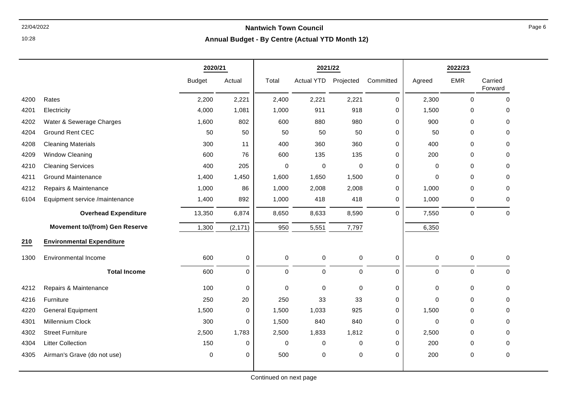10:28

|      |                                       | 2020/21       |             |             | 2021/22              |                     |             |             | 2022/23     |                    |
|------|---------------------------------------|---------------|-------------|-------------|----------------------|---------------------|-------------|-------------|-------------|--------------------|
|      |                                       | <b>Budget</b> | Actual      | Total       | Actual YTD Projected |                     | Committed   | Agreed      | EMR         | Carried<br>Forward |
| 4200 | Rates                                 | 2,200         | 2,221       | 2,400       | 2,221                | 2,221               | $\mathbf 0$ | 2,300       | 0           | $\mathbf 0$        |
| 4201 | Electricity                           | 4,000         | 1,081       | 1,000       | 911                  | 918                 | 0           | 1,500       | 0           | 0                  |
| 4202 | Water & Sewerage Charges              | 1,600         | 802         | 600         | 880                  | 980                 | 0           | 900         | 0           | $\mathbf 0$        |
| 4204 | <b>Ground Rent CEC</b>                | 50            | 50          | 50          | 50                   | 50                  | 0           | 50          | 0           | $\Omega$           |
| 4208 | <b>Cleaning Materials</b>             | 300           | 11          | 400         | 360                  | 360                 | 0           | 400         | 0           | $\mathbf 0$        |
| 4209 | <b>Window Cleaning</b>                | 600           | 76          | 600         | 135                  | 135                 | 0           | 200         | 0           | $\Omega$           |
| 4210 | <b>Cleaning Services</b>              | 400           | 205         | 0           | $\mathbf 0$          | $\mathbf 0$         | 0           | $\mathbf 0$ | 0           | $\mathbf 0$        |
| 4211 | <b>Ground Maintenance</b>             | 1,400         | 1,450       | 1,600       | 1,650                | 1,500               | 0           | 0           | 0           | $\mathbf 0$        |
| 4212 | Repairs & Maintenance                 | 1,000         | 86          | 1,000       | 2,008                | 2,008               | 0           | 1,000       | 0           | $\mathbf 0$        |
| 6104 | Equipment service /maintenance        | 1,400         | 892         | 1,000       | 418                  | 418                 | 0           | 1,000       | 0           | $\mathbf 0$        |
|      | <b>Overhead Expenditure</b>           | 13,350        | 6,874       | 8,650       | 8,633                | 8,590               | $\Omega$    | 7,550       | 0           | $\mathbf 0$        |
|      | <b>Movement to/(from) Gen Reserve</b> | 1,300         | (2, 171)    | 950         | 5,551                | 7,797               |             | 6,350       |             |                    |
| 210  | <b>Environmental Expenditure</b>      |               |             |             |                      |                     |             |             |             |                    |
| 1300 | <b>Environmental Income</b>           | 600           | $\pmb{0}$   | $\mathbf 0$ | $\pmb{0}$            | $\pmb{0}$           | 0           | $\mathbf 0$ | $\mathbf 0$ | $\mathbf 0$        |
|      | <b>Total Income</b>                   | 600           | $\mathbf 0$ | $\mathbf 0$ | $\mathbf 0$          | $\mathsf{O}\xspace$ | $\mathbf 0$ | $\mathbf 0$ | $\mathsf 0$ | $\mathbf 0$        |
| 4212 | Repairs & Maintenance                 | 100           | $\pmb{0}$   | $\mathbf 0$ | $\mathbf 0$          | $\mathbf 0$         | 0           | $\mathbf 0$ | $\mathsf 0$ | $\mathbf 0$        |
| 4216 | Furniture                             | 250           | 20          | 250         | 33                   | 33                  | 0           | $\Omega$    | 0           | $\Omega$           |
| 4220 | <b>General Equipment</b>              | 1,500         | 0           | 1,500       | 1,033                | 925                 | 0           | 1,500       | 0           | 0                  |
| 4301 | Millennium Clock                      | 300           | $\Omega$    | 1,500       | 840                  | 840                 | 0           | $\mathbf 0$ | 0           | $\Omega$           |
| 4302 | <b>Street Furniture</b>               | 2,500         | 1,783       | 2,500       | 1,833                | 1,812               | 0           | 2,500       | 0           | $\mathbf 0$        |
| 4304 | <b>Litter Collection</b>              | 150           | 0           | 0           | $\mathbf 0$          | 0                   | 0           | 200         | 0           | $\mathbf 0$        |
| 4305 | Airman's Grave (do not use)           | $\pmb{0}$     | 0           | 500         | 0                    | $\mathbf 0$         | 0           | 200         | 0           | $\mathbf 0$        |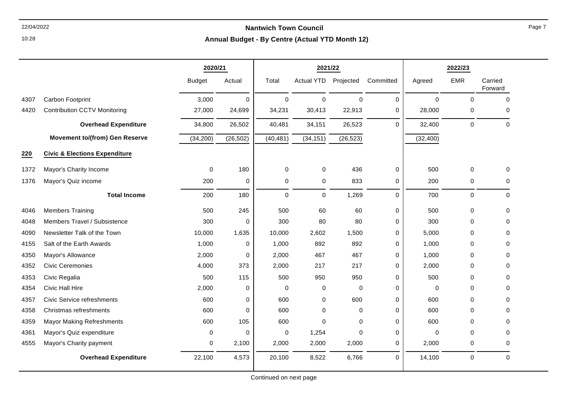**Annual Budget - By Centre (Actual YTD Month 12)**

|      |                                          | 2020/21       |             |             | 2021/22           |             |             |           | 2022/23      |                    |
|------|------------------------------------------|---------------|-------------|-------------|-------------------|-------------|-------------|-----------|--------------|--------------------|
|      |                                          | <b>Budget</b> | Actual      | Total       | <b>Actual YTD</b> | Projected   | Committed   | Agreed    | <b>EMR</b>   | Carried<br>Forward |
| 4307 | Carbon Footprint                         | 3,000         | $\mathbf 0$ | 0           | $\mathbf 0$       | $\Omega$    | $\Omega$    | $\Omega$  | $\mathbf{0}$ | $\Omega$           |
| 4420 | <b>Contribution CCTV Monitoring</b>      | 27,000        | 24,699      | 34,231      | 30,413            | 22,913      | 0           | 28,000    | 0            | 0                  |
|      | <b>Overhead Expenditure</b>              | 34,800        | 26,502      | 40,481      | 34,151            | 26,523      | $\Omega$    | 32,400    | $\mathbf 0$  | $\Omega$           |
|      | <b>Movement to/(from) Gen Reserve</b>    | (34, 200)     | (26, 502)   | (40, 481)   | (34, 151)         | (26, 523)   |             | (32, 400) |              |                    |
| 220  | <b>Civic &amp; Elections Expenditure</b> |               |             |             |                   |             |             |           |              |                    |
| 1372 | Mayor's Charity Income                   | 0             | 180         | $\mathbf 0$ | 0                 | 436         | $\pmb{0}$   | 500       | $\mathbf 0$  | 0                  |
| 1376 | Mayor's Quiz income                      | 200           | 0           | 0           | 0                 | 833         | 0           | 200       | 0            | 0                  |
|      | <b>Total Income</b>                      | 200           | 180         | $\Omega$    | $\mathbf 0$       | 1,269       | $\Omega$    | 700       | $\mathbf 0$  | $\Omega$           |
| 4046 | <b>Members Training</b>                  | 500           | 245         | 500         | 60                | 60          | 0           | 500       | $\mathbf 0$  | 0                  |
| 4048 | Members Travel / Subsistence             | 300           | 0           | 300         | 80                | 80          | 0           | 300       | $\mathbf 0$  | 0                  |
| 4090 | Newsletter Talk of the Town              | 10,000        | 1,635       | 10,000      | 2,602             | 1,500       | $\mathbf 0$ | 5,000     | $\mathbf 0$  | 0                  |
| 4155 | Salt of the Earth Awards                 | 1,000         | 0           | 1,000       | 892               | 892         | 0           | 1,000     | $\mathbf 0$  | 0                  |
| 4350 | Mayor's Allowance                        | 2,000         | 0           | 2,000       | 467               | 467         | 0           | 1,000     | $\mathbf 0$  | 0                  |
| 4352 | <b>Civic Ceremonies</b>                  | 4,000         | 373         | 2,000       | 217               | 217         | 0           | 2,000     | 0            | 0                  |
| 4353 | Civic Regalia                            | 500           | 115         | 500         | 950               | 950         | 0           | 500       | $\mathbf 0$  | 0                  |
| 4354 | <b>Civic Hall Hire</b>                   | 2,000         | 0           | 0           | $\pmb{0}$         | $\mathbf 0$ | 0           | 0         | $\mathbf 0$  | 0                  |
| 4357 | <b>Civic Service refreshments</b>        | 600           | 0           | 600         | $\pmb{0}$         | 600         | $\pmb{0}$   | 600       | $\mathbf{0}$ | 0                  |
| 4358 | Christmas refreshments                   | 600           | $\Omega$    | 600         | $\mathbf 0$       | $\Omega$    | 0           | 600       | $\Omega$     | $\Omega$           |
| 4359 | <b>Mayor Making Refreshments</b>         | 600           | 105         | 600         | $\mathbf 0$       | $\Omega$    | $\mathbf 0$ | 600       | $\mathbf{0}$ | $\Omega$           |
| 4361 | Mayor's Quiz expenditure                 | $\Omega$      | 0           | 0           | 1,254             | $\Omega$    | $\mathbf 0$ | $\Omega$  | $\Omega$     | 0                  |
| 4555 | Mayor's Charity payment                  | 0             | 2,100       | 2,000       | 2,000             | 2,000       | 0           | 2,000     | $\mathbf 0$  | $\Omega$           |
|      | <b>Overhead Expenditure</b>              | 22,100        | 4,573       | 20,100      | 8,522             | 6,766       | $\mathbf 0$ | 14,100    | $\pmb{0}$    | $\mathbf 0$        |

10:28

Continued on next page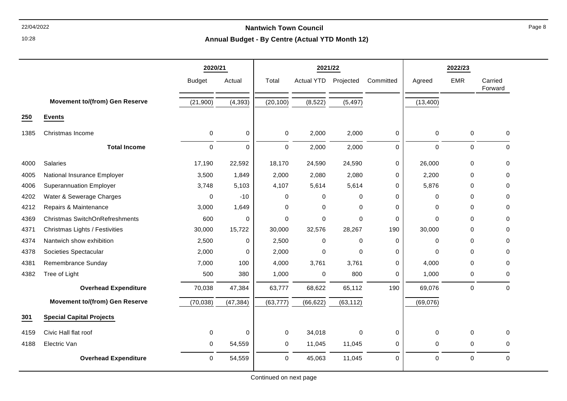10:28

#### **Annual Budget - By Centre (Actual YTD Month 12)**

|      |                                       | 2020/21       |           | 2021/22             |            |             |             |             | 2022/23             |                    |
|------|---------------------------------------|---------------|-----------|---------------------|------------|-------------|-------------|-------------|---------------------|--------------------|
|      |                                       | <b>Budget</b> | Actual    | Total               | Actual YTD | Projected   | Committed   | Agreed      | <b>EMR</b>          | Carried<br>Forward |
|      | <b>Movement to/(from) Gen Reserve</b> | (21,900)      | (4, 393)  | (20, 100)           | (8, 522)   | (5, 497)    |             | (13, 400)   |                     |                    |
| 250  | <b>Events</b>                         |               |           |                     |            |             |             |             |                     |                    |
| 1385 | Christmas Income                      | $\pmb{0}$     | 0         | $\mathsf{O}\xspace$ | 2,000      | 2,000       | $\mathbf 0$ | $\pmb{0}$   | $\mathsf{O}\xspace$ | $\mathbf 0$        |
|      | <b>Total Income</b>                   | $\mathbf 0$   | 0         | $\mathbf 0$         | 2,000      | 2,000       | $\mathbf 0$ | $\mathbf 0$ | $\mathsf{O}\xspace$ | $\mathbf 0$        |
| 4000 | Salaries                              | 17,190        | 22,592    | 18,170              | 24,590     | 24,590      | 0           | 26,000      | $\mathsf{O}\xspace$ | 0                  |
| 4005 | National Insurance Employer           | 3,500         | 1,849     | 2,000               | 2,080      | 2,080       | 0           | 2,200       | $\mathbf 0$         | 0                  |
| 4006 | <b>Superannuation Employer</b>        | 3,748         | 5,103     | 4,107               | 5,614      | 5,614       | 0           | 5,876       | $\Omega$            | 0                  |
| 4202 | Water & Sewerage Charges              | $\mathbf 0$   | $-10$     | $\pmb{0}$           | 0          | 0           | $\mathbf 0$ | $\mathbf 0$ | $\mathbf 0$         | 0                  |
| 4212 | Repairs & Maintenance                 | 3.000         | 1,649     | $\Omega$            | 0          | $\Omega$    | $\Omega$    | 0           | $\Omega$            | 0                  |
| 4369 | <b>Christmas SwitchOnRefreshments</b> | 600           | 0         | $\mathbf 0$         | 0          | $\Omega$    | 0           | $\Omega$    | $\Omega$            | 0                  |
| 4371 | Christmas Lights / Festivities        | 30,000        | 15,722    | 30,000              | 32,576     | 28,267      | 190         | 30,000      | $\Omega$            | 0                  |
| 4374 | Nantwich show exhibition              | 2,500         | 0         | 2,500               | 0          | $\Omega$    | $\Omega$    | $\Omega$    | $\Omega$            | 0                  |
| 4378 | Societies Spectacular                 | 2,000         | 0         | 2,000               | 0          | $\Omega$    | 0           | $\Omega$    | $\mathbf 0$         | 0                  |
| 4381 | Remembrance Sunday                    | 7,000         | 100       | 4,000               | 3,761      | 3,761       | 0           | 4,000       | $\mathbf 0$         | $\Omega$           |
| 4382 | Tree of Light                         | 500           | 380       | 1,000               | 0          | 800         | 0           | 1,000       | 0                   | 0                  |
|      | <b>Overhead Expenditure</b>           | 70,038        | 47,384    | 63,777              | 68,622     | 65,112      | 190         | 69,076      | $\mathbf 0$         | $\Omega$           |
|      | <b>Movement to/(from) Gen Reserve</b> | (70, 038)     | (47, 384) | (63, 777)           | (66, 622)  | (63, 112)   |             | (69,076)    |                     |                    |
| 301  | <b>Special Capital Projects</b>       |               |           |                     |            |             |             |             |                     |                    |
| 4159 | Civic Hall flat roof                  | 0             | 0         | $\mathbf 0$         | 34,018     | $\mathbf 0$ | 0           | $\mathbf 0$ | 0                   | $\Omega$           |
| 4188 | Electric Van                          | $\Omega$      | 54,559    | $\mathbf 0$         | 11,045     | 11,045      | $\mathbf 0$ | $\mathbf 0$ | $\mathbf 0$         | $\Omega$           |
|      | <b>Overhead Expenditure</b>           | 0             | 54,559    | $\pmb{0}$           | 45,063     | 11,045      | $\mathbf 0$ | $\pmb{0}$   | $\mathsf{O}\xspace$ | $\mathbf 0$        |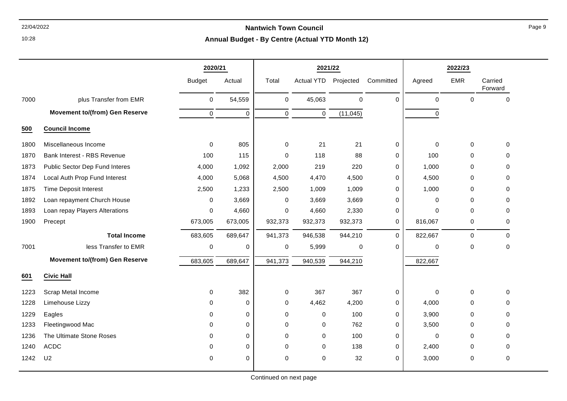10:28

|      |                                       | 2020/21       |             |             | 2021/22           |             |             |             | 2022/23     |                    |
|------|---------------------------------------|---------------|-------------|-------------|-------------------|-------------|-------------|-------------|-------------|--------------------|
|      |                                       | <b>Budget</b> | Actual      | Total       | <b>Actual YTD</b> | Projected   | Committed   | Agreed      | <b>EMR</b>  | Carried<br>Forward |
| 7000 | plus Transfer from EMR                | $\mathbf 0$   | 54,559      | $\mathbf 0$ | 45,063            | $\mathbf 0$ | $\Omega$    | $\mathbf 0$ | $\mathbf 0$ | $\mathbf 0$        |
|      | <b>Movement to/(from) Gen Reserve</b> | $\mathbf 0$   | $\mathbf 0$ | $\mathbf 0$ | $\mathbf 0$       | (11, 045)   |             | 0           |             |                    |
| 500  | <b>Council Income</b>                 |               |             |             |                   |             |             |             |             |                    |
| 1800 | Miscellaneous Income                  | $\Omega$      | 805         | $\mathbf 0$ | 21                | 21          | $\mathbf 0$ | $\mathbf 0$ | $\mathbf 0$ | $\mathbf 0$        |
| 1870 | Bank Interest - RBS Revenue           | 100           | 115         | 0           | 118               | 88          | 0           | 100         | 0           | 0                  |
| 1873 | Public Sector Dep Fund Interes        | 4,000         | 1,092       | 2,000       | 219               | 220         | 0           | 1,000       | $\mathbf 0$ | $\Omega$           |
| 1874 | Local Auth Prop Fund Interest         | 4,000         | 5,068       | 4,500       | 4,470             | 4,500       | 0           | 4,500       | 0           | $\Omega$           |
| 1875 | <b>Time Deposit Interest</b>          | 2,500         | 1,233       | 2,500       | 1,009             | 1,009       | 0           | 1,000       | 0           | $\Omega$           |
| 1892 | Loan repayment Church House           | $\Omega$      | 3,669       | $\mathbf 0$ | 3,669             | 3,669       | $\mathbf 0$ | $\Omega$    | 0           | $\Omega$           |
| 1893 | Loan repay Players Alterations        | $\mathbf 0$   | 4,660       | 0           | 4,660             | 2,330       | 0           | $\Omega$    | $\Omega$    | $\Omega$           |
| 1900 | Precept                               | 673,005       | 673,005     | 932,373     | 932,373           | 932,373     | 0           | 816,067     | 0           | 0                  |
|      | <b>Total Income</b>                   | 683,605       | 689,647     | 941,373     | 946,538           | 944,210     | $\mathbf 0$ | 822,667     | 0           | $\Omega$           |
| 7001 | less Transfer to EMR                  | $\mathsf 0$   | $\mathbf 0$ | $\pmb{0}$   | 5,999             | $\pmb{0}$   | 0           | $\mathbf 0$ | 0           | $\pmb{0}$          |
|      | <b>Movement to/(from) Gen Reserve</b> | 683,605       | 689,647     | 941,373     | 940,539           | 944,210     |             | 822,667     |             |                    |
| 601  | <b>Civic Hall</b>                     |               |             |             |                   |             |             |             |             |                    |
| 1223 | Scrap Metal Income                    | $\Omega$      | 382         | $\mathbf 0$ | 367               | 367         | 0           | $\Omega$    | 0           | $\Omega$           |
| 1228 | Limehouse Lizzy                       | $\Omega$      | $\Omega$    | 0           | 4,462             | 4,200       | 0           | 4,000       | 0           | $\Omega$           |
| 1229 | Eagles                                | 0             | $\mathbf 0$ | 0           | $\Omega$          | 100         | 0           | 3,900       | 0           | $\Omega$           |
| 1233 | Fleetingwood Mac                      | $\Omega$      | $\mathbf 0$ | $\Omega$    | $\Omega$          | 762         | 0           | 3,500       | 0           | $\Omega$           |
| 1236 | The Ultimate Stone Roses              | $\Omega$      | 0           | $\Omega$    | $\Omega$          | 100         | $\mathbf 0$ | $\pmb{0}$   | 0           | $\Omega$           |
| 1240 | <b>ACDC</b>                           | $\Omega$      | 0           | $\Omega$    | $\Omega$          | 138         | 0           | 2,400       | $\mathbf 0$ | $\Omega$           |
| 1242 | U <sub>2</sub>                        | $\mathbf 0$   | 0           | 0           | $\mathbf 0$       | 32          | 0           | 3,000       | 0           | $\mathbf 0$        |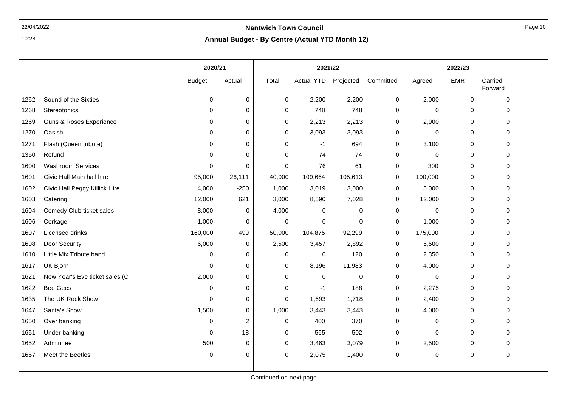10:28

|      |                                    | 2020/21       |             |             | 2021/22              |         |           |         | 2022/23     |                    |
|------|------------------------------------|---------------|-------------|-------------|----------------------|---------|-----------|---------|-------------|--------------------|
|      |                                    | <b>Budget</b> | Actual      | Total       | Actual YTD Projected |         | Committed | Agreed  | <b>EMR</b>  | Carried<br>Forward |
| 1262 | Sound of the Sixties               | 0             | $\mathbf 0$ | 0           | 2,200                | 2,200   | 0         | 2,000   | $\mathbf 0$ | $\mathbf 0$        |
| 1268 | Stereotonics                       | 0             | $\mathbf 0$ | 0           | 748                  | 748     | 0         | 0       | 0           | $\mathbf 0$        |
| 1269 | <b>Guns &amp; Roses Experience</b> | 0             | 0           | 0           | 2,213                | 2,213   | 0         | 2,900   | 0           | 0                  |
| 1270 | Oasish                             | 0             | 0           | 0           | 3,093                | 3,093   | 0         | 0       | 0           | $\Omega$           |
| 1271 | Flash (Queen tribute)              | $\Omega$      | 0           | 0           | $-1$                 | 694     | 0         | 3,100   | 0           | $\Omega$           |
| 1350 | Refund                             | 0             | 0           | 0           | 74                   | 74      | 0         | 0       | 0           | 0                  |
| 1600 | <b>Washroom Services</b>           | $\Omega$      | $\Omega$    | 0           | 76                   | 61      | 0         | 300     | 0           | $\Omega$           |
| 1601 | Civic Hall Main hall hire          | 95,000        | 26,111      | 40,000      | 109,664              | 105,613 | 0         | 100,000 | 0           | 0                  |
| 1602 | Civic Hall Peggy Killick Hire      | 4,000         | $-250$      | 1,000       | 3,019                | 3,000   | 0         | 5,000   | 0           | 0                  |
| 1603 | Catering                           | 12,000        | 621         | 3,000       | 8,590                | 7,028   | 0         | 12,000  | 0           | $\mathbf 0$        |
| 1604 | Comedy Club ticket sales           | 8,000         | 0           | 4,000       | 0                    | 0       | 0         | 0       | 0           | 0                  |
| 1606 | Corkage                            | 1,000         | 0           | $\mathbf 0$ | $\mathbf 0$          | 0       | 0         | 1,000   | 0           | 0                  |
| 1607 | Licensed drinks                    | 160,000       | 499         | 50,000      | 104,875              | 92,299  | 0         | 175,000 | $\mathbf 0$ | $\Omega$           |
| 1608 | Door Security                      | 6,000         | 0           | 2,500       | 3,457                | 2,892   | 0         | 5,500   | 0           | $\Omega$           |
| 1610 | Little Mix Tribute band            | 0             | 0           | $\mathbf 0$ | 0                    | 120     | 0         | 2,350   | 0           | 0                  |
| 1617 | UK Bjorn                           | 0             | 0           | 0           | 8,196                | 11,983  | 0         | 4,000   | 0           | $\mathbf 0$        |
| 1621 | New Year's Eve ticket sales (C     | 2,000         | 0           | 0           | 0                    | 0       | 0         | 0       | 0           | 0                  |
| 1622 | <b>Bee Gees</b>                    | 0             | $\mathbf 0$ | 0           | $-1$                 | 188     | 0         | 2,275   | 0           | 0                  |
| 1635 | The UK Rock Show                   | 0             | 0           | 0           | 1,693                | 1,718   | 0         | 2,400   | 0           | 0                  |
| 1647 | Santa's Show                       | 1,500         | 0           | 1,000       | 3,443                | 3,443   | 0         | 4,000   | 0           | $\Omega$           |
| 1650 | Over banking                       | 0             | 2           | 0           | 400                  | 370     | 0         | 0       | 0           | 0                  |
| 1651 | Under banking                      | 0             | $-18$       | 0           | $-565$               | $-502$  | 0         | 0       | 0           | $\Omega$           |
| 1652 | Admin fee                          | 500           | $\mathbf 0$ | 0           | 3,463                | 3,079   | 0         | 2,500   | 0           | $\Omega$           |
| 1657 | Meet the Beetles                   | 0             | $\mathbf 0$ | 0           | 2,075                | 1,400   | 0         | 0       | 0           | $\mathbf 0$        |
|      |                                    |               |             |             |                      |         |           |         |             |                    |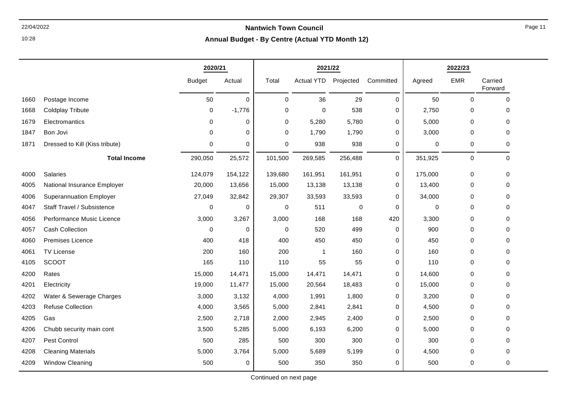10:28

#### **Annual Budget - By Centre (Actual YTD Month 12)**

|      |                                | 2020/21       |             |             | 2021/22           |             |                     |             | 2022/23     |                    |
|------|--------------------------------|---------------|-------------|-------------|-------------------|-------------|---------------------|-------------|-------------|--------------------|
|      |                                | <b>Budget</b> | Actual      | Total       | <b>Actual YTD</b> | Projected   | Committed           | Agreed      | <b>EMR</b>  | Carried<br>Forward |
| 1660 | Postage Income                 | 50            | $\mathbf 0$ | $\mathbf 0$ | 36                | 29          | $\mathbf 0$         | 50          | $\Omega$    | $\Omega$           |
| 1668 | <b>Coldplay Tribute</b>        | 0             | $-1,776$    | 0           | 0                 | 538         | 0                   | 2,750       | 0           | 0                  |
| 1679 | Electromantics                 | 0             | 0           | 0           | 5,280             | 5,780       | 0                   | 5,000       | $\mathbf 0$ | 0                  |
| 1847 | Bon Jovi                       | $\Omega$      | $\mathbf 0$ | $\mathbf 0$ | 1,790             | 1,790       | 0                   | 3,000       | $\mathbf 0$ | 0                  |
| 1871 | Dressed to Kill (Kiss tribute) | 0             | 0           | $\pmb{0}$   | 938               | 938         | 0                   | $\pmb{0}$   | 0           | 0                  |
|      | <b>Total Income</b>            | 290,050       | 25,572      | 101,500     | 269,585           | 256,488     | $\mathsf{O}\xspace$ | 351,925     | $\pmb{0}$   | $\mathbf 0$        |
| 4000 | Salaries                       | 124,079       | 154,122     | 139,680     | 161,951           | 161,951     | 0                   | 175,000     | 0           | 0                  |
| 4005 | National Insurance Employer    | 20,000        | 13,656      | 15,000      | 13,138            | 13,138      | 0                   | 13,400      | 0           | 0                  |
| 4006 | <b>Superannuation Employer</b> | 27,049        | 32,842      | 29,307      | 33,593            | 33,593      | $\mathbf 0$         | 34,000      | $\pmb{0}$   | 0                  |
| 4047 | Staff Travel / Subsistence     | $\mathbf 0$   | 0           | $\mathbf 0$ | 511               | $\mathbf 0$ | $\mathbf 0$         | $\mathbf 0$ | $\mathbf 0$ | 0                  |
| 4056 | Performance Music Licence      | 3,000         | 3,267       | 3,000       | 168               | 168         | 420                 | 3,300       | 0           | $\Omega$           |
| 4057 | Cash Collection                | 0             | 0           | $\mathbf 0$ | 520               | 499         | 0                   | 900         | $\mathbf 0$ | $\Omega$           |
| 4060 | Premises Licence               | 400           | 418         | 400         | 450               | 450         | 0                   | 450         | $\mathbf 0$ | 0                  |
| 4061 | <b>TV License</b>              | 200           | 160         | 200         | $\overline{1}$    | 160         | 0                   | 160         | $\mathbf 0$ | $\Omega$           |
| 4105 | <b>SCOOT</b>                   | 165           | 110         | 110         | 55                | 55          | 0                   | 110         | 0           | 0                  |
| 4200 | Rates                          | 15,000        | 14,471      | 15,000      | 14,471            | 14,471      | 0                   | 14,600      | $\mathbf 0$ | 0                  |
| 4201 | Electricity                    | 19,000        | 11,477      | 15,000      | 20,564            | 18,483      | 0                   | 15,000      | $\mathbf 0$ | 0                  |
| 4202 | Water & Sewerage Charges       | 3,000         | 3,132       | 4,000       | 1,991             | 1,800       | 0                   | 3,200       | 0           | 0                  |
| 4203 | <b>Refuse Collection</b>       | 4,000         | 3,565       | 5,000       | 2,841             | 2,841       | 0                   | 4,500       | $\mathbf 0$ | $\Omega$           |
| 4205 | Gas                            | 2,500         | 2,718       | 2,000       | 2,945             | 2,400       | 0                   | 2,500       | 0           | 0                  |
| 4206 | Chubb security main cont       | 3,500         | 5,285       | 5,000       | 6,193             | 6,200       | 0                   | 5,000       | $\mathbf 0$ | 0                  |
| 4207 | Pest Control                   | 500           | 285         | 500         | 300               | 300         | 0                   | 300         | $\mathbf 0$ | 0                  |
| 4208 | <b>Cleaning Materials</b>      | 5,000         | 3,764       | 5,000       | 5,689             | 5,199       | 0                   | 4,500       | 0           | 0                  |
| 4209 | <b>Window Cleaning</b>         | 500           | 0           | 500         | 350               | 350         | $\mathbf 0$         | 500         | 0           | 0                  |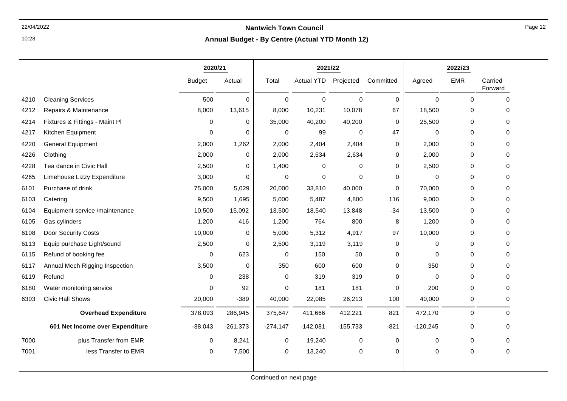### 22/04/2022 **Nantwich Town Council Annual Budget - By Centre (Actual YTD Month 12)**

|      |                                 | 2020/21       |            | 2021/22     |            |             |             |             | 2022/23    |                    |
|------|---------------------------------|---------------|------------|-------------|------------|-------------|-------------|-------------|------------|--------------------|
|      |                                 | <b>Budget</b> | Actual     | Total       | Actual YTD | Projected   | Committed   | Agreed      | <b>EMR</b> | Carried<br>Forward |
| 4210 | <b>Cleaning Services</b>        | 500           | $\Omega$   | $\mathbf 0$ | $\Omega$   | $\Omega$    | $\mathbf 0$ | $\mathbf 0$ | $\Omega$   | $\mathbf 0$        |
| 4212 | Repairs & Maintenance           | 8,000         | 13,615     | 8,000       | 10,231     | 10,078      | 67          | 18,500      | 0          | $\mathbf 0$        |
| 4214 | Fixtures & Fittings - Maint Pl  | 0             | 0          | 35,000      | 40,200     | 40,200      | $\mathbf 0$ | 25,500      | 0          | $\Omega$           |
| 4217 | Kitchen Equipment               | $\Omega$      | $\Omega$   | 0           | 99         | $\Omega$    | 47          | $\Omega$    | 0          | $\Omega$           |
| 4220 | <b>General Equipment</b>        | 2,000         | 1,262      | 2,000       | 2,404      | 2,404       | 0           | 2,000       | 0          | $\Omega$           |
| 4226 | Clothing                        | 2,000         | 0          | 2,000       | 2,634      | 2,634       | 0           | 2,000       | 0          | $\Omega$           |
| 4228 | Tea dance in Civic Hall         | 2,500         | $\Omega$   | 1,400       | $\Omega$   | $\mathbf 0$ | 0           | 2,500       | 0          | 0                  |
| 4265 | Limehouse Lizzy Expenditure     | 3,000         | 0          | 0           | 0          | $\Omega$    | 0           | 0           | 0          | $\mathbf 0$        |
| 6101 | Purchase of drink               | 75,000        | 5,029      | 20,000      | 33,810     | 40,000      | 0           | 70,000      | 0          | $\Omega$           |
| 6103 | Catering                        | 9,500         | 1,695      | 5,000       | 5,487      | 4,800       | 116         | 9,000       | 0          | $\mathbf 0$        |
| 6104 | Equipment service /maintenance  | 10,500        | 15,092     | 13,500      | 18,540     | 13,848      | $-34$       | 13,500      | 0          | $\Omega$           |
| 6105 | Gas cylinders                   | 1,200         | 416        | 1,200       | 764        | 800         | 8           | 1,200       | 0          | $\mathbf 0$        |
| 6108 | Door Security Costs             | 10,000        | 0          | 5,000       | 5,312      | 4,917       | 97          | 10,000      | 0          | $\mathbf 0$        |
| 6113 | Equip purchase Light/sound      | 2,500         | $\Omega$   | 2,500       | 3,119      | 3,119       | 0           | 0           | 0          | $\Omega$           |
| 6115 | Refund of booking fee           | $\Omega$      | 623        | 0           | 150        | 50          | 0           | $\Omega$    | 0          | $\Omega$           |
| 6117 | Annual Mech Rigging Inspection  | 3,500         | 0          | 350         | 600        | 600         | 0           | 350         | 0          | $\mathbf 0$        |
| 6119 | Refund                          | 0             | 238        | 0           | 319        | 319         | 0           | $\mathbf 0$ | 0          | $\mathbf 0$        |
| 6180 | Water monitoring service        | $\Omega$      | 92         | 0           | 181        | 181         | 0           | 200         | 0          | $\mathbf 0$        |
| 6303 | <b>Civic Hall Shows</b>         | 20,000        | $-389$     | 40,000      | 22,085     | 26,213      | 100         | 40,000      | 0          | $\mathbf 0$        |
|      | <b>Overhead Expenditure</b>     | 378,093       | 286,945    | 375,647     | 411,666    | 412,221     | 821         | 472,170     | 0          | 0                  |
|      | 601 Net Income over Expenditure | $-88,043$     | $-261,373$ | $-274,147$  | $-142,081$ | $-155,733$  | $-821$      | $-120,245$  | 0          | $\mathbf 0$        |
| 7000 | plus Transfer from EMR          | $\mathbf 0$   | 8,241      | 0           | 19,240     | $\mathbf 0$ | $\mathbf 0$ | $\mathbf 0$ | 0          | 0                  |
| 7001 | less Transfer to EMR            | 0             | 7,500      | 0           | 13,240     | $\mathbf 0$ | 0           | 0           | 0          | 0                  |
|      |                                 |               |            |             |            |             |             |             |            |                    |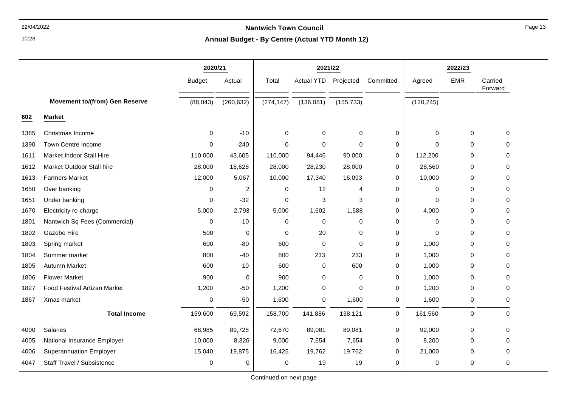10:28

#### **Annual Budget - By Centre (Actual YTD Month 12)**

|      |                                       | 2020/21       |            | 2021/22    |             |             | 2022/23     |             |            |                    |
|------|---------------------------------------|---------------|------------|------------|-------------|-------------|-------------|-------------|------------|--------------------|
|      |                                       | <b>Budget</b> | Actual     | Total      | Actual YTD  | Projected   | Committed   | Agreed      | <b>EMR</b> | Carried<br>Forward |
|      | <b>Movement to/(from) Gen Reserve</b> | (88, 043)     | (260, 632) | (274, 147) | (136,081)   | (155, 733)  |             | (120, 245)  |            |                    |
| 602  | <b>Market</b>                         |               |            |            |             |             |             |             |            |                    |
| 1385 | Christmas Income                      | 0             | $-10$      | 0          | 0           | $\mathbf 0$ | 0           | $\pmb{0}$   | $\pmb{0}$  | 0                  |
| 1390 | Town Centre Income                    | $\mathbf 0$   | $-240$     | 0          | $\mathbf 0$ | $\mathbf 0$ | 0           | $\Omega$    | 0          | 0                  |
| 1611 | <b>Market Indoor Stall Hire</b>       | 110,000       | 43,605     | 110,000    | 94,446      | 90,000      | 0           | 112,200     | 0          | 0                  |
| 1612 | Market Outdoor Stall hire             | 28,000        | 18,628     | 28,000     | 28,230      | 28,000      | 0           | 28,560      | 0          | 0                  |
| 1613 | <b>Farmers Market</b>                 | 12,000        | 5,067      | 10,000     | 17,340      | 16,093      | 0           | 10,000      | 0          | $\Omega$           |
| 1650 | Over banking                          | 0             | 2          | 0          | 12          | 4           | 0           | 0           | 0          | 0                  |
| 1651 | Under banking                         | 0             | $-32$      | 0          | 3           | 3           | 0           | $\Omega$    | 0          | $\Omega$           |
| 1670 | Electricity re-charge                 | 5,000         | 2,793      | 5,000      | 1,602       | 1,588       | 0           | 4,000       | 0          | $\Omega$           |
| 1801 | Nantwich Sq Fees (Commercial)         | $\mathbf 0$   | $-10$      | 0          | $\mathbf 0$ | $\mathbf 0$ | $\mathbf 0$ | $\mathbf 0$ | 0          | 0                  |
| 1802 | Gazebo Hire                           | 500           | 0          | 0          | 20          | $\mathbf 0$ | 0           | $\Omega$    | 0          | $\Omega$           |
| 1803 | Spring market                         | 600           | $-80$      | 600        | $\mathbf 0$ | $\mathbf 0$ | 0           | 1,000       | 0          | 0                  |
| 1804 | Summer market                         | 800           | $-40$      | 800        | 233         | 233         | 0           | 1,000       | 0          | $\Omega$           |
| 1805 | Autumn Market                         | 600           | 10         | 600        | $\Omega$    | 600         | 0           | 1,000       | 0          | $\Omega$           |
| 1806 | <b>Flower Market</b>                  | 900           | 0          | 900        | $\mathbf 0$ | 0           | 0           | 1,000       | 0          | $\Omega$           |
| 1827 | Food Festival Artizan Market          | 1,200         | $-50$      | 1,200      | $\mathbf 0$ | $\mathbf 0$ | 0           | 1,200       | 0          | 0                  |
| 1867 | Xmas market                           | 0             | $-50$      | 1,600      | 0           | 1,600       | 0           | 1,600       | 0          | 0                  |
|      | <b>Total Income</b>                   | 159,600       | 69,592     | 158,700    | 141,886     | 138,121     | $\mathbf 0$ | 161,560     | 0          | $\mathbf 0$        |
| 4000 | Salaries                              | 68,985        | 89,728     | 72,670     | 89,081      | 89,081      | 0           | 92,000      | 0          | $\mathbf 0$        |
| 4005 | National Insurance Employer           | 10,000        | 8,326      | 9,000      | 7,654       | 7,654       | 0           | 8,200       | 0          | $\Omega$           |
| 4006 | <b>Superannuation Employer</b>        | 15,040        | 19,875     | 16,425     | 19,762      | 19,762      | 0           | 21,000      | 0          | 0                  |
| 4047 | Staff Travel / Subsistence            | 0             | 0          | 0          | 19          | 19          | 0           | 0           | 0          | $\mathbf 0$        |

Continued on next page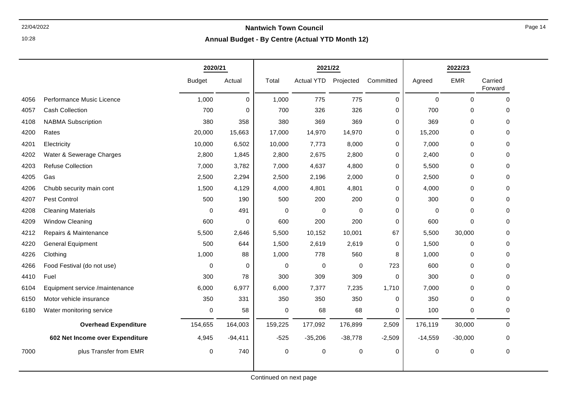10:28

|      |                                 | 2020/21       |           | 2021/22     |                   |             |             | 2022/23   |             |                    |
|------|---------------------------------|---------------|-----------|-------------|-------------------|-------------|-------------|-----------|-------------|--------------------|
|      |                                 | <b>Budget</b> | Actual    | Total       | <b>Actual YTD</b> | Projected   | Committed   | Agreed    | <b>EMR</b>  | Carried<br>Forward |
| 4056 | Performance Music Licence       | 1,000         | $\Omega$  | 1,000       | 775               | 775         | $\mathbf 0$ | $\Omega$  | $\Omega$    | $\Omega$           |
| 4057 | Cash Collection                 | 700           | 0         | 700         | 326               | 326         | 0           | 700       | $\mathbf 0$ | 0                  |
| 4108 | <b>NABMA Subscription</b>       | 380           | 358       | 380         | 369               | 369         | 0           | 369       | $\mathbf 0$ | 0                  |
| 4200 | Rates                           | 20,000        | 15,663    | 17,000      | 14,970            | 14,970      | $\mathbf 0$ | 15,200    | $\mathbf 0$ | 0                  |
| 4201 | Electricity                     | 10,000        | 6,502     | 10,000      | 7,773             | 8,000       | $\mathbf 0$ | 7,000     | $\pmb{0}$   | 0                  |
| 4202 | Water & Sewerage Charges        | 2,800         | 1,845     | 2,800       | 2,675             | 2,800       | 0           | 2,400     | $\mathbf 0$ | $\Omega$           |
| 4203 | <b>Refuse Collection</b>        | 7,000         | 3,782     | 7,000       | 4,637             | 4,800       | $\mathbf 0$ | 5,500     | $\mathbf 0$ | 0                  |
| 4205 | Gas                             | 2,500         | 2,294     | 2,500       | 2,196             | 2,000       | 0           | 2,500     | $\mathbf 0$ | 0                  |
| 4206 | Chubb security main cont        | 1,500         | 4,129     | 4,000       | 4,801             | 4,801       | $\mathbf 0$ | 4,000     | $\pmb{0}$   | 0                  |
| 4207 | Pest Control                    | 500           | 190       | 500         | 200               | 200         | $\mathbf 0$ | 300       | $\mathbf 0$ | 0                  |
| 4208 | <b>Cleaning Materials</b>       | $\mathbf 0$   | 491       | 0           | $\mathbf 0$       | $\mathbf 0$ | $\mathbf 0$ | $\Omega$  | $\mathbf 0$ | $\Omega$           |
| 4209 | <b>Window Cleaning</b>          | 600           | 0         | 600         | 200               | 200         | $\mathbf 0$ | 600       | $\mathbf 0$ | $\Omega$           |
| 4212 | Repairs & Maintenance           | 5,500         | 2,646     | 5,500       | 10,152            | 10,001      | 67          | 5,500     | 30,000      | 0                  |
| 4220 | <b>General Equipment</b>        | 500           | 644       | 1,500       | 2,619             | 2,619       | 0           | 1,500     | $\mathbf 0$ | 0                  |
| 4226 | Clothing                        | 1,000         | 88        | 1,000       | 778               | 560         | 8           | 1,000     | 0           | 0                  |
| 4266 | Food Festival (do not use)      | $\Omega$      | 0         | 0           | $\mathbf 0$       | 0           | 723         | 600       | $\mathbf 0$ | 0                  |
| 4410 | Fuel                            | 300           | 78        | 300         | 309               | 309         | 0           | 300       | $\mathbf 0$ | $\Omega$           |
| 6104 | Equipment service /maintenance  | 6,000         | 6,977     | 6,000       | 7,377             | 7,235       | 1,710       | 7,000     | $\pmb{0}$   | 0                  |
| 6150 | Motor vehicle insurance         | 350           | 331       | 350         | 350               | 350         | $\Omega$    | 350       | $\mathbf 0$ | 0                  |
| 6180 | Water monitoring service        | $\mathbf 0$   | 58        | 0           | 68                | 68          | $\Omega$    | 100       | $\mathbf 0$ | $\Omega$           |
|      | <b>Overhead Expenditure</b>     | 154,655       | 164,003   | 159,225     | 177,092           | 176,899     | 2,509       | 176,119   | 30,000      | $\mathbf 0$        |
|      | 602 Net Income over Expenditure | 4,945         | $-94,411$ | $-525$      | $-35,206$         | $-38,778$   | $-2,509$    | $-14,559$ | $-30,000$   | 0                  |
| 7000 | plus Transfer from EMR          | $\mathbf 0$   | 740       | $\mathbf 0$ | $\mathbf 0$       | 0           | 0           | 0         | $\pmb{0}$   | 0                  |
|      |                                 |               |           |             |                   |             |             |           |             |                    |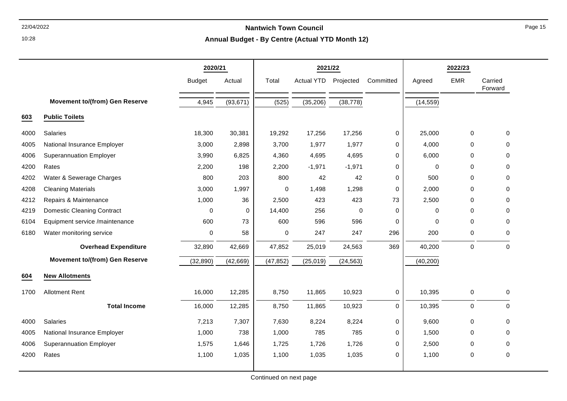10:28

#### **Annual Budget - By Centre (Actual YTD Month 12)**

|      |                                       | 2020/21       |           | 2021/22   |                   |             | 2022/23     |             |             |                    |
|------|---------------------------------------|---------------|-----------|-----------|-------------------|-------------|-------------|-------------|-------------|--------------------|
|      |                                       | <b>Budget</b> | Actual    | Total     | <b>Actual YTD</b> | Projected   | Committed   | Agreed      | <b>EMR</b>  | Carried<br>Forward |
|      | <b>Movement to/(from) Gen Reserve</b> | 4,945         | (93, 671) | (525)     | (35, 206)         | (38, 778)   |             | (14, 559)   |             |                    |
| 603  | <b>Public Toilets</b>                 |               |           |           |                   |             |             |             |             |                    |
| 4000 | Salaries                              | 18,300        | 30,381    | 19,292    | 17,256            | 17,256      | 0           | 25,000      | $\pmb{0}$   | $\mathbf 0$        |
| 4005 | National Insurance Employer           | 3,000         | 2,898     | 3,700     | 1,977             | 1,977       | 0           | 4,000       | 0           | $\mathbf 0$        |
| 4006 | <b>Superannuation Employer</b>        | 3,990         | 6,825     | 4,360     | 4,695             | 4,695       | 0           | 6,000       | 0           | 0                  |
| 4200 | Rates                                 | 2,200         | 198       | 2,200     | $-1,971$          | $-1,971$    | $\mathbf 0$ | $\mathbf 0$ | $\mathbf 0$ | $\mathbf 0$        |
| 4202 | Water & Sewerage Charges              | 800           | 203       | 800       | 42                | 42          | 0           | 500         | $\Omega$    | $\Omega$           |
| 4208 | <b>Cleaning Materials</b>             | 3,000         | 1,997     | 0         | 1,498             | 1,298       | 0           | 2,000       | 0           | $\mathbf 0$        |
| 4212 | Repairs & Maintenance                 | 1,000         | 36        | 2,500     | 423               | 423         | 73          | 2,500       | $\mathbf 0$ | $\mathbf 0$        |
| 4219 | <b>Domestic Cleaning Contract</b>     | $\mathbf 0$   | 0         | 14,400    | 256               | $\mathbf 0$ | 0           | $\mathbf 0$ | $\Omega$    | $\Omega$           |
| 6104 | Equipment service /maintenance        | 600           | 73        | 600       | 596               | 596         | 0           | $\mathbf 0$ | $\pmb{0}$   | 0                  |
| 6180 | Water monitoring service              | 0             | 58        | 0         | 247               | 247         | 296         | 200         | $\pmb{0}$   | $\mathbf 0$        |
|      | <b>Overhead Expenditure</b>           | 32,890        | 42,669    | 47,852    | 25,019            | 24,563      | 369         | 40,200      | $\pmb{0}$   | $\mathbf 0$        |
|      | <b>Movement to/(from) Gen Reserve</b> | (32, 890)     | (42,669)  | (47, 852) | (25, 019)         | (24, 563)   |             | (40, 200)   |             |                    |
| 604  | <b>New Allotments</b>                 |               |           |           |                   |             |             |             |             |                    |
| 1700 | <b>Allotment Rent</b>                 | 16,000        | 12,285    | 8,750     | 11,865            | 10,923      | 0           | 10,395      | 0           | 0                  |
|      | <b>Total Income</b>                   | 16,000        | 12,285    | 8,750     | 11,865            | 10,923      | $\mathbf 0$ | 10,395      | $\pmb{0}$   | $\Omega$           |
| 4000 | Salaries                              | 7,213         | 7,307     | 7,630     | 8,224             | 8,224       | 0           | 9,600       | $\pmb{0}$   | 0                  |
| 4005 | National Insurance Employer           | 1,000         | 738       | 1,000     | 785               | 785         | $\mathbf 0$ | 1,500       | $\mathbf 0$ | $\mathbf 0$        |
| 4006 | <b>Superannuation Employer</b>        | 1,575         | 1,646     | 1,725     | 1,726             | 1,726       | 0           | 2,500       | 0           | $\Omega$           |
| 4200 | Rates                                 | 1,100         | 1,035     | 1,100     | 1,035             | 1,035       | $\mathbf 0$ | 1,100       | $\pmb{0}$   | $\mathbf 0$        |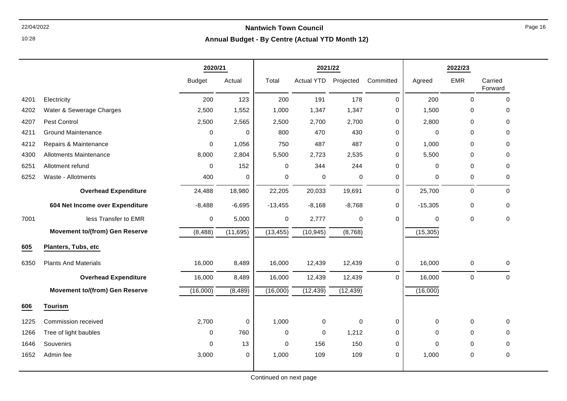### 22/04/2022 **Nantwich Town Council Annual Budget - By Centre (Actual YTD Month 12)**

|      |                                       | 2020/21       |             |             | 2021/22           |             |             |             | 2022/23      |                    |
|------|---------------------------------------|---------------|-------------|-------------|-------------------|-------------|-------------|-------------|--------------|--------------------|
|      |                                       | <b>Budget</b> | Actual      | Total       | <b>Actual YTD</b> | Projected   | Committed   | Agreed      | <b>EMR</b>   | Carried<br>Forward |
| 4201 | Electricity                           | 200           | 123         | 200         | 191               | 178         | $\mathbf 0$ | 200         | $\mathbf 0$  | $\mathbf 0$        |
| 4202 | Water & Sewerage Charges              | 2,500         | 1,552       | 1,000       | 1,347             | 1,347       | 0           | 1,500       | 0            | 0                  |
| 4207 | Pest Control                          | 2,500         | 2,565       | 2,500       | 2,700             | 2,700       | $\Omega$    | 2,800       | $\mathbf{0}$ | $\Omega$           |
| 4211 | <b>Ground Maintenance</b>             | $\mathbf{0}$  | $\mathbf 0$ | 800         | 470               | 430         | 0           | $\mathbf 0$ | $\mathbf{0}$ | $\Omega$           |
| 4212 | Repairs & Maintenance                 | $\mathbf 0$   | 1,056       | 750         | 487               | 487         | 0           | 1,000       | $\mathbf 0$  | 0                  |
| 4300 | <b>Allotments Maintenance</b>         | 8,000         | 2,804       | 5,500       | 2,723             | 2,535       | $\Omega$    | 5,500       | $\mathbf{0}$ | $\Omega$           |
| 6251 | Allotment refund                      | $\Omega$      | 152         | $\mathbf 0$ | 344               | 244         | $\mathbf 0$ | $\mathbf 0$ | $\mathbf 0$  | 0                  |
| 6252 | Waste - Allotments                    | 400           | 0           | $\mathbf 0$ | $\pmb{0}$         | $\mathbf 0$ | 0           | $\mathbf 0$ | 0            | 0                  |
|      | <b>Overhead Expenditure</b>           | 24,488        | 18,980      | 22,205      | 20,033            | 19,691      | $\mathbf 0$ | 25,700      | $\mathbf 0$  | $\Omega$           |
|      | 604 Net Income over Expenditure       | $-8,488$      | $-6,695$    | $-13,455$   | $-8,168$          | $-8,768$    | 0           | $-15,305$   | $\pmb{0}$    | $\mathbf 0$        |
| 7001 | less Transfer to EMR                  | $\mathbf 0$   | 5,000       | 0           | 2,777             | 0           | 0           | 0           | $\mathbf 0$  | 0                  |
|      | <b>Movement to/(from) Gen Reserve</b> | (8, 488)      | (11,695)    | (13, 455)   | (10, 945)         | (8,768)     |             | (15, 305)   |              |                    |
| 605  | Planters, Tubs, etc                   |               |             |             |                   |             |             |             |              |                    |
| 6350 | <b>Plants And Materials</b>           | 16,000        | 8,489       | 16,000      | 12,439            | 12,439      | 0           | 16,000      | $\pmb{0}$    | $\mathbf 0$        |
|      | <b>Overhead Expenditure</b>           | 16,000        | 8,489       | 16,000      | 12,439            | 12,439      | $\Omega$    | 16,000      | $\mathbf 0$  | $\mathbf 0$        |
|      | <b>Movement to/(from) Gen Reserve</b> | (16,000)      | (8, 489)    | (16,000)    | (12, 439)         | (12, 439)   |             | (16,000)    |              |                    |
| 606  | <b>Tourism</b>                        |               |             |             |                   |             |             |             |              |                    |
| 1225 | Commission received                   | 2,700         | 0           | 1,000       | 0                 | $\mathbf 0$ | 0           | 0           | $\mathbf 0$  | $\mathbf 0$        |
| 1266 | Tree of light baubles                 | $\Omega$      | 760         | $\mathbf 0$ | $\mathbf 0$       | 1,212       | $\mathbf 0$ | $\mathbf 0$ | $\mathbf{0}$ | $\Omega$           |
| 1646 | Souvenirs                             | $\Omega$      | 13          | $\mathbf 0$ | 156               | 150         | 0           | $\mathbf 0$ | 0            | $\mathbf 0$        |
| 1652 | Admin fee                             | 3,000         | 0           | 1,000       | 109               | 109         | 0           | 1,000       | $\mathbf 0$  | $\mathbf 0$        |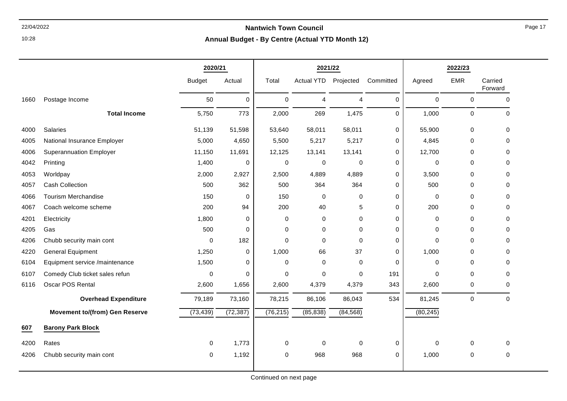10:28

| Annual Budget - By Centre (Actual YTD Month 12) |  |  |  |  |
|-------------------------------------------------|--|--|--|--|
|-------------------------------------------------|--|--|--|--|

|      |                                       | 2020/21       |             | 2021/22     |                   |                | 2022/23     |             |             |                    |
|------|---------------------------------------|---------------|-------------|-------------|-------------------|----------------|-------------|-------------|-------------|--------------------|
|      |                                       | <b>Budget</b> | Actual      | Total       | <b>Actual YTD</b> | Projected      | Committed   | Agreed      | <b>EMR</b>  | Carried<br>Forward |
| 1660 | Postage Income                        | 50            | 0           | $\mathbf 0$ | 4                 | $\overline{4}$ | $\mathbf 0$ | 0           | $\mathbf 0$ | 0                  |
|      | <b>Total Income</b>                   | 5,750         | 773         | 2,000       | 269               | 1,475          | $\mathbf 0$ | 1,000       | $\mathbf 0$ | $\mathbf 0$        |
| 4000 | Salaries                              | 51,139        | 51,598      | 53,640      | 58,011            | 58,011         | 0           | 55,900      | 0           | $\Omega$           |
| 4005 | National Insurance Employer           | 5,000         | 4,650       | 5,500       | 5,217             | 5,217          | 0           | 4,845       | $\mathbf 0$ | 0                  |
| 4006 | <b>Superannuation Employer</b>        | 11,150        | 11,691      | 12,125      | 13,141            | 13,141         | 0           | 12,700      | $\mathbf 0$ | 0                  |
| 4042 | Printing                              | 1,400         | 0           | $\mathbf 0$ | $\mathbf 0$       | 0              | 0           | $\mathbf 0$ | $\mathbf 0$ | 0                  |
| 4053 | Worldpay                              | 2,000         | 2,927       | 2,500       | 4,889             | 4,889          | $\mathbf 0$ | 3,500       | $\mathbf 0$ | 0                  |
| 4057 | <b>Cash Collection</b>                | 500           | 362         | 500         | 364               | 364            | $\mathbf 0$ | 500         | $\mathbf 0$ | 0                  |
| 4066 | Tourism Merchandise                   | 150           | 0           | 150         | 0                 | 0              | 0           | $\mathbf 0$ | $\mathbf 0$ | $\Omega$           |
| 4067 | Coach welcome scheme                  | 200           | 94          | 200         | 40                | 5              | $\mathbf 0$ | 200         | $\mathbf 0$ | $\Omega$           |
| 4201 | Electricity                           | 1,800         | 0           | $\mathbf 0$ | 0                 | 0              | 0           | 0           | $\mathbf 0$ | 0                  |
| 4205 | Gas                                   | 500           | 0           | 0           | 0                 | 0              | $\Omega$    | $\Omega$    | $\mathbf 0$ | 0                  |
| 4206 | Chubb security main cont              | 0             | 182         | 0           | $\mathbf 0$       | $\Omega$       | 0           | $\Omega$    | $\mathbf 0$ | 0                  |
| 4220 | <b>General Equipment</b>              | 1,250         | $\mathbf 0$ | 1,000       | 66                | 37             | $\Omega$    | 1,000       | $\mathbf 0$ | 0                  |
| 6104 | Equipment service /maintenance        | 1,500         | $\Omega$    | 0           | 0                 | $\mathbf 0$    | $\Omega$    | 0           | $\mathbf 0$ | 0                  |
| 6107 | Comedy Club ticket sales refun        | 0             | 0           | $\mathbf 0$ | 0                 | $\mathbf 0$    | 191         | $\mathbf 0$ | $\mathbf 0$ | 0                  |
| 6116 | Oscar POS Rental                      | 2,600         | 1,656       | 2,600       | 4,379             | 4,379          | 343         | 2,600       | $\mathbf 0$ | 0                  |
|      | <b>Overhead Expenditure</b>           | 79,189        | 73,160      | 78,215      | 86,106            | 86,043         | 534         | 81,245      | $\mathbf 0$ | $\Omega$           |
|      | <b>Movement to/(from) Gen Reserve</b> | (73, 439)     | (72, 387)   | (76, 215)   | (85, 838)         | (84, 568)      |             | (80, 245)   |             |                    |
| 607  | <b>Barony Park Block</b>              |               |             |             |                   |                |             |             |             |                    |
| 4200 | Rates                                 | 0             | 1,773       | 0           | 0                 | 0              | 0           | 0           | $\mathbf 0$ | 0                  |
| 4206 | Chubb security main cont              | 0             | 1,192       | 0           | 968               | 968            | 0           | 1,000       | $\mathbf 0$ | 0                  |
|      |                                       |               |             |             |                   |                |             |             |             |                    |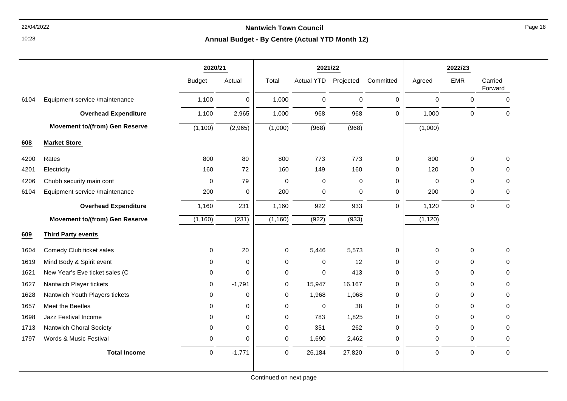10:28

|      |                                       | 2020/21       |             |             | 2021/22              |             |             | 2022/23     |                     |                    |
|------|---------------------------------------|---------------|-------------|-------------|----------------------|-------------|-------------|-------------|---------------------|--------------------|
|      |                                       | <b>Budget</b> | Actual      | Total       | Actual YTD Projected |             | Committed   | Agreed      | <b>EMR</b>          | Carried<br>Forward |
| 6104 | Equipment service /maintenance        | 1,100         | $\Omega$    | 1,000       | $\Omega$             | $\mathbf 0$ | $\Omega$    | $\mathbf 0$ | $\mathbf 0$         | $\Omega$           |
|      | <b>Overhead Expenditure</b>           | 1,100         | 2,965       | 1,000       | 968                  | 968         | $\Omega$    | 1,000       | $\mathbf 0$         | $\Omega$           |
|      | <b>Movement to/(from) Gen Reserve</b> | (1, 100)      | (2,965)     | (1,000)     | (968)                | (968)       |             | (1,000)     |                     |                    |
| 608  | <b>Market Store</b>                   |               |             |             |                      |             |             |             |                     |                    |
| 4200 | Rates                                 | 800           | 80          | 800         | 773                  | 773         | 0           | 800         | 0                   | 0                  |
| 4201 | Electricity                           | 160           | 72          | 160         | 149                  | 160         | $\mathbf 0$ | 120         | $\mathbf 0$         | $\Omega$           |
| 4206 | Chubb security main cont              | $\mathbf 0$   | 79          | $\pmb{0}$   | $\mathbf 0$          | $\mathbf 0$ | $\mathbf 0$ | $\mathbf 0$ | 0                   | 0                  |
| 6104 | Equipment service /maintenance        | 200           | $\mathbf 0$ | 200         | $\mathbf 0$          | $\pmb{0}$   | $\mathbf 0$ | 200         | $\mathsf{O}\xspace$ | $\Omega$           |
|      | <b>Overhead Expenditure</b>           | 1,160         | 231         | 1,160       | 922                  | 933         | $\Omega$    | 1,120       | $\mathsf{O}\xspace$ | $\mathbf 0$        |
|      | <b>Movement to/(from) Gen Reserve</b> | (1, 160)      | (231)       | (1, 160)    | (922)                | (933)       |             | (1, 120)    |                     |                    |
| 609  | <b>Third Party events</b>             |               |             |             |                      |             |             |             |                     |                    |
| 1604 | Comedy Club ticket sales              | $\mathbf 0$   | 20          | $\pmb{0}$   | 5,446                | 5,573       | $\mathbf 0$ | $\mathbf 0$ | $\mathbf 0$         | $\mathbf 0$        |
| 1619 | Mind Body & Spirit event              | $\Omega$      | 0           | $\Omega$    | $\mathbf 0$          | 12          | 0           | 0           | $\mathbf 0$         | 0                  |
| 1621 | New Year's Eve ticket sales (C        | $\Omega$      | $\Omega$    | 0           | $\mathbf 0$          | 413         | $\Omega$    | 0           | $\mathbf 0$         | 0                  |
| 1627 | Nantwich Player tickets               | $\mathbf 0$   | $-1,791$    | 0           | 15,947               | 16,167      | 0           | 0           | $\Omega$            | $\Omega$           |
| 1628 | Nantwich Youth Players tickets        | $\Omega$      | 0           | $\Omega$    | 1,968                | 1,068       | 0           | 0           | $\Omega$            | $\Omega$           |
| 1657 | Meet the Beetles                      | $\Omega$      | $\mathbf 0$ | 0           | $\mathbf 0$          | 38          | $\mathbf 0$ | 0           | $\mathbf 0$         | $\Omega$           |
| 1698 | Jazz Festival Income                  | $\Omega$      | $\mathbf 0$ | $\Omega$    | 783                  | 1,825       | $\Omega$    | $\Omega$    | $\Omega$            | $\Omega$           |
| 1713 | Nantwich Choral Society               | $\Omega$      | 0           | 0           | 351                  | 262         | 0           | 0           | $\Omega$            | $\Omega$           |
| 1797 | Words & Music Festival                | 0             | $\mathbf 0$ | 0           | 1,690                | 2,462       | 0           | 0           | 0                   | $\Omega$           |
|      | <b>Total Income</b>                   | $\mathbf 0$   | $-1,771$    | $\mathbf 0$ | 26,184               | 27,820      | $\Omega$    | $\mathbf 0$ | $\mathbf 0$         | $\Omega$           |